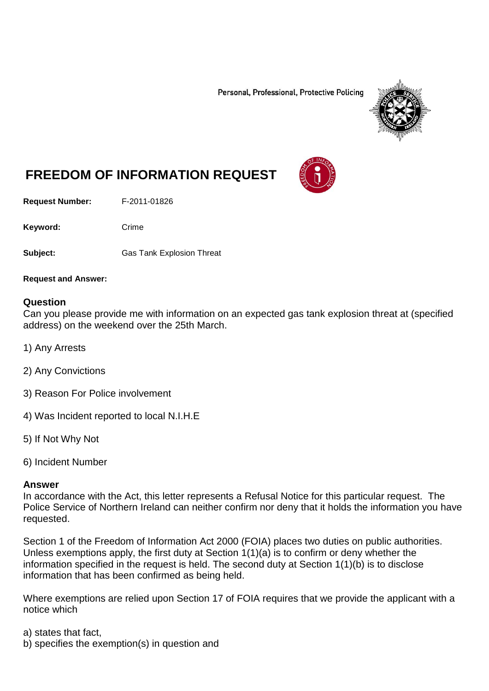Personal, Professional, Protective Policing



# **FREEDOM OF INFORMATION REQUEST**

**Request Number:** F-2011-01826

Keyword: Crime

**Subject:** Gas Tank Explosion Threat

**Request and Answer:**

#### **Question**

Can you please provide me with information on an expected gas tank explosion threat at (specified address) on the weekend over the 25th March.

- 1) Any Arrests
- 2) Any Convictions
- 3) Reason For Police involvement
- 4) Was Incident reported to local N.I.H.E
- 5) If Not Why Not
- 6) Incident Number

#### **Answer**

In accordance with the Act, this letter represents a Refusal Notice for this particular request. The Police Service of Northern Ireland can neither confirm nor deny that it holds the information you have requested.

Section 1 of the Freedom of Information Act 2000 (FOIA) places two duties on public authorities. Unless exemptions apply, the first duty at Section  $1(1)(a)$  is to confirm or deny whether the information specified in the request is held. The second duty at Section 1(1)(b) is to disclose information that has been confirmed as being held.

Where exemptions are relied upon Section 17 of FOIA requires that we provide the applicant with a notice which

a) states that fact,

b) specifies the exemption(s) in question and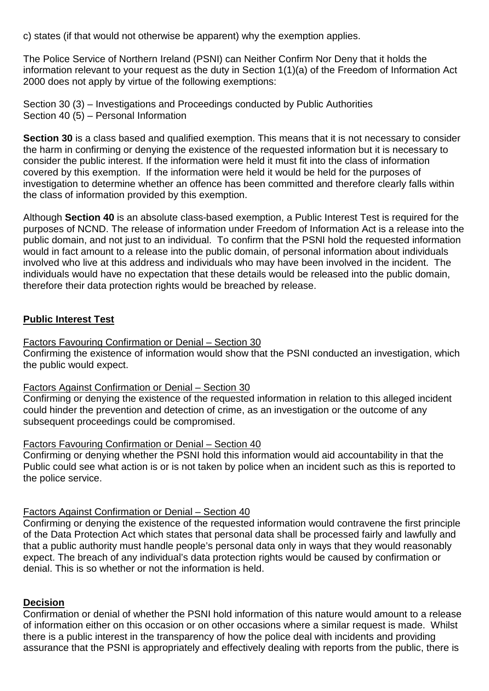c) states (if that would not otherwise be apparent) why the exemption applies.

The Police Service of Northern Ireland (PSNI) can Neither Confirm Nor Deny that it holds the information relevant to your request as the duty in Section 1(1)(a) of the Freedom of Information Act 2000 does not apply by virtue of the following exemptions:

Section 30 (3) – Investigations and Proceedings conducted by Public Authorities Section 40 (5) – Personal Information

**Section 30** is a class based and qualified exemption. This means that it is not necessary to consider the harm in confirming or denying the existence of the requested information but it is necessary to consider the public interest. If the information were held it must fit into the class of information covered by this exemption. If the information were held it would be held for the purposes of investigation to determine whether an offence has been committed and therefore clearly falls within the class of information provided by this exemption.

Although **Section 40** is an absolute class-based exemption, a Public Interest Test is required for the purposes of NCND. The release of information under Freedom of Information Act is a release into the public domain, and not just to an individual. To confirm that the PSNI hold the requested information would in fact amount to a release into the public domain, of personal information about individuals involved who live at this address and individuals who may have been involved in the incident. The individuals would have no expectation that these details would be released into the public domain, therefore their data protection rights would be breached by release.

## **Public Interest Test**

### Factors Favouring Confirmation or Denial – Section 30

Confirming the existence of information would show that the PSNI conducted an investigation, which the public would expect.

#### Factors Against Confirmation or Denial – Section 30

Confirming or denying the existence of the requested information in relation to this alleged incident could hinder the prevention and detection of crime, as an investigation or the outcome of any subsequent proceedings could be compromised.

#### Factors Favouring Confirmation or Denial – Section 40

Confirming or denying whether the PSNI hold this information would aid accountability in that the Public could see what action is or is not taken by police when an incident such as this is reported to the police service.

#### Factors Against Confirmation or Denial – Section 40

Confirming or denying the existence of the requested information would contravene the first principle of the Data Protection Act which states that personal data shall be processed fairly and lawfully and that a public authority must handle people's personal data only in ways that they would reasonably expect. The breach of any individual's data protection rights would be caused by confirmation or denial. This is so whether or not the information is held.

#### **Decision**

Confirmation or denial of whether the PSNI hold information of this nature would amount to a release of information either on this occasion or on other occasions where a similar request is made. Whilst there is a public interest in the transparency of how the police deal with incidents and providing assurance that the PSNI is appropriately and effectively dealing with reports from the public, there is